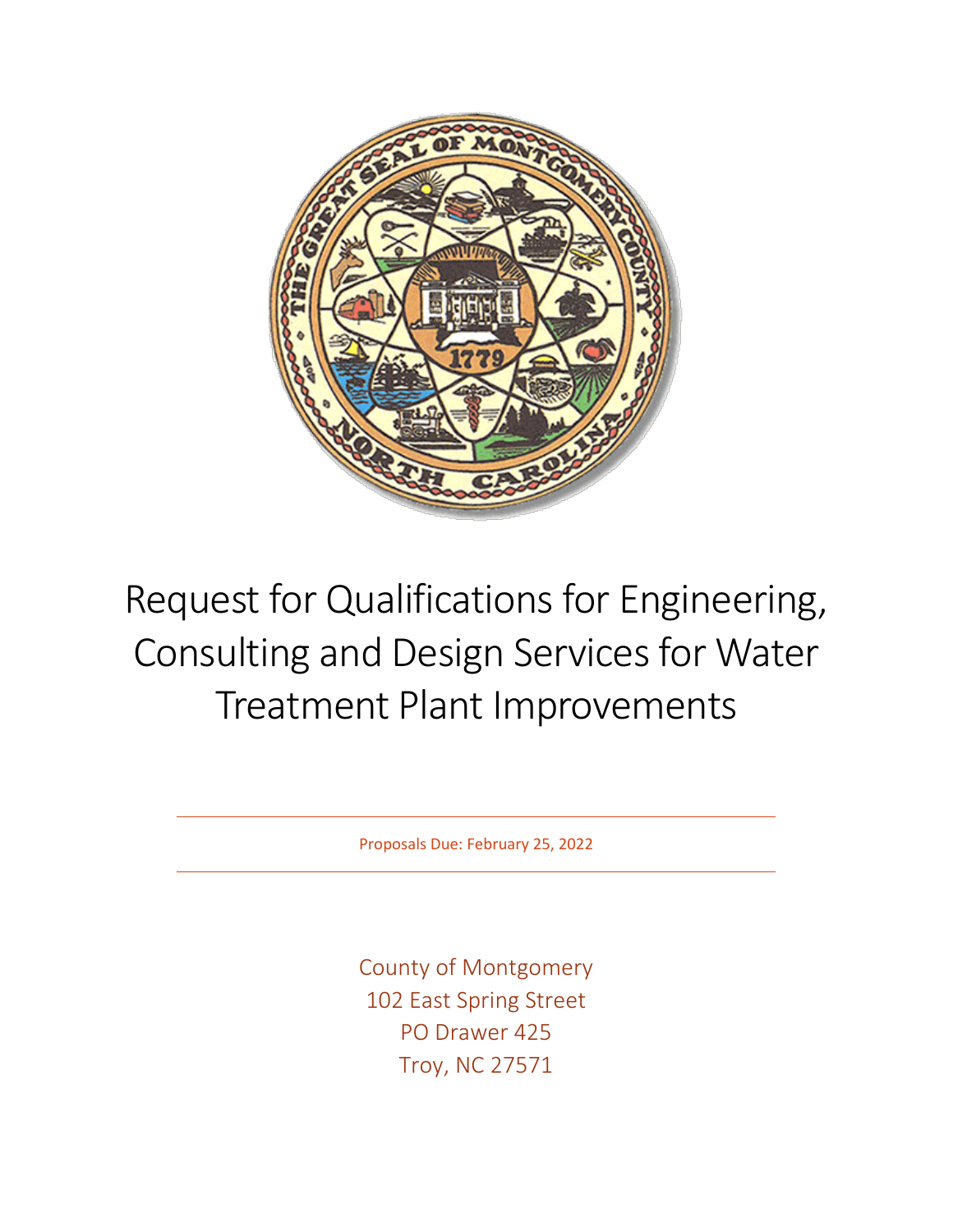

# Request for Qualifications for Engineering, Consulting and Design Services for Water Treatment Plant Improvements

Proposals Due: February 25, 2022

County of Montgomery 102 East Spring Street PO Drawer 425 Troy, NC 27571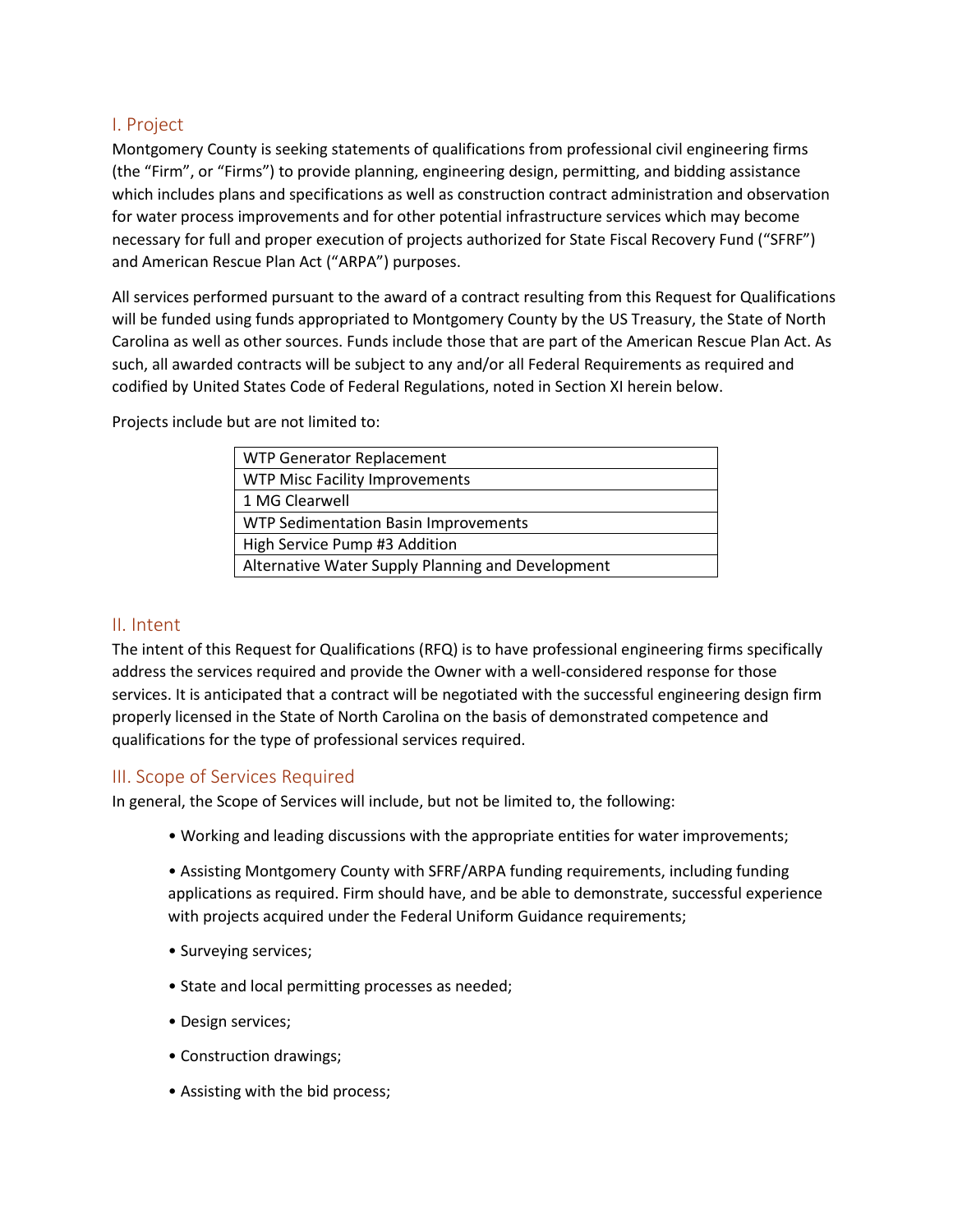# I. Project

Montgomery County is seeking statements of qualifications from professional civil engineering firms (the "Firm", or "Firms") to provide planning, engineering design, permitting, and bidding assistance which includes plans and specifications as well as construction contract administration and observation for water process improvements and for other potential infrastructure services which may become necessary for full and proper execution of projects authorized for State Fiscal Recovery Fund ("SFRF") and American Rescue Plan Act ("ARPA") purposes.

All services performed pursuant to the award of a contract resulting from this Request for Qualifications will be funded using funds appropriated to Montgomery County by the US Treasury, the State of North Carolina as well as other sources. Funds include those that are part of the American Rescue Plan Act. As such, all awarded contracts will be subject to any and/or all Federal Requirements as required and codified by United States Code of Federal Regulations, noted in Section XI herein below.

Projects include but are not limited to:

| WTP Generator Replacement                         |
|---------------------------------------------------|
| <b>WTP Misc Facility Improvements</b>             |
| 1 MG Clearwell                                    |
| WTP Sedimentation Basin Improvements              |
| High Service Pump #3 Addition                     |
| Alternative Water Supply Planning and Development |

## II. Intent

The intent of this Request for Qualifications (RFQ) is to have professional engineering firms specifically address the services required and provide the Owner with a well-considered response for those services. It is anticipated that a contract will be negotiated with the successful engineering design firm properly licensed in the State of North Carolina on the basis of demonstrated competence and qualifications for the type of professional services required.

# III. Scope of Services Required

In general, the Scope of Services will include, but not be limited to, the following:

• Working and leading discussions with the appropriate entities for water improvements;

• Assisting Montgomery County with SFRF/ARPA funding requirements, including funding applications as required. Firm should have, and be able to demonstrate, successful experience with projects acquired under the Federal Uniform Guidance requirements;

- Surveying services;
- State and local permitting processes as needed;
- Design services;
- Construction drawings;
- Assisting with the bid process;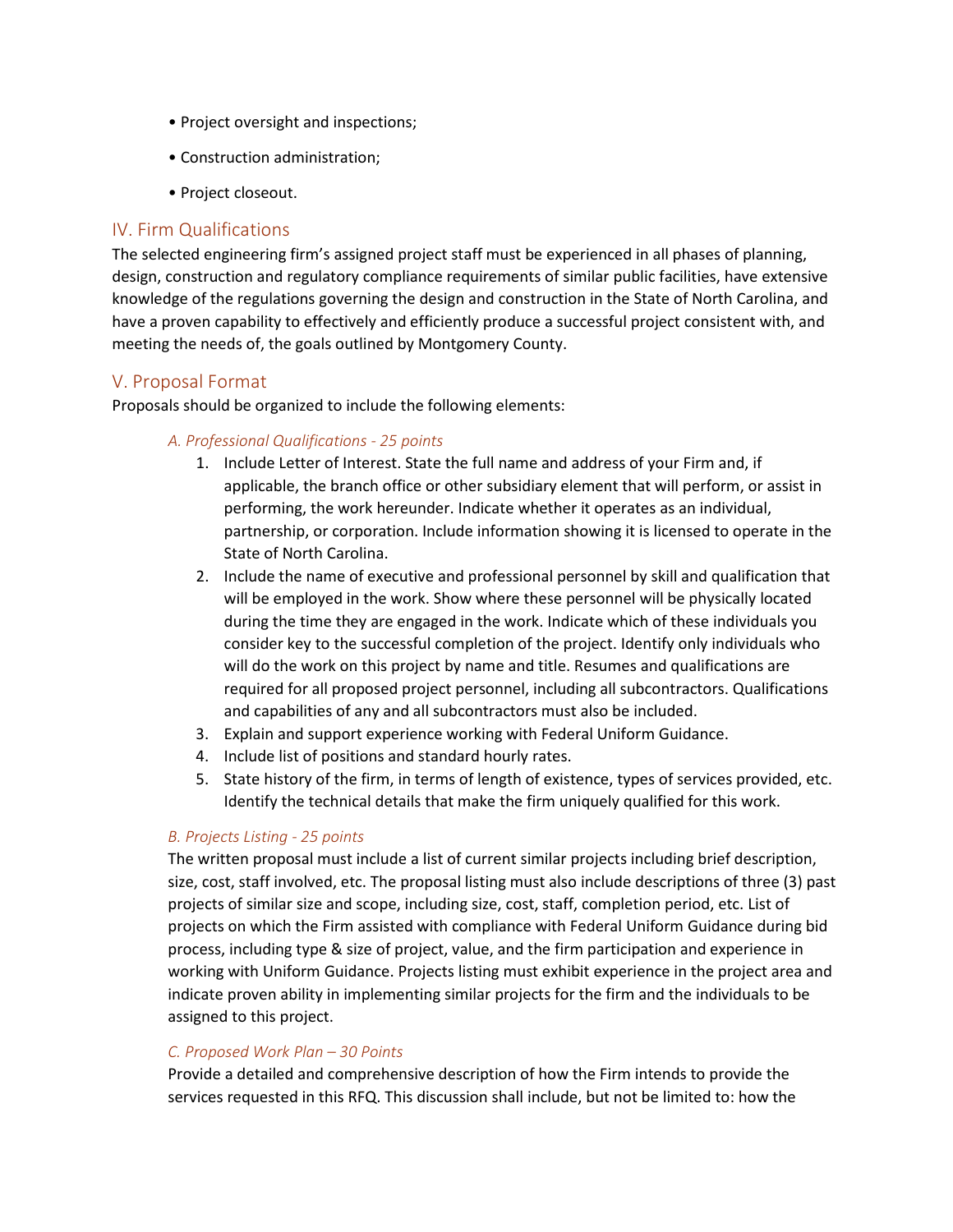- Project oversight and inspections;
- Construction administration;
- Project closeout.

## IV. Firm Qualifications

The selected engineering firm's assigned project staff must be experienced in all phases of planning, design, construction and regulatory compliance requirements of similar public facilities, have extensive knowledge of the regulations governing the design and construction in the State of North Carolina, and have a proven capability to effectively and efficiently produce a successful project consistent with, and meeting the needs of, the goals outlined by Montgomery County.

## V. Proposal Format

Proposals should be organized to include the following elements:

#### *A. Professional Qualifications - 25 points*

- 1. Include Letter of Interest. State the full name and address of your Firm and, if applicable, the branch office or other subsidiary element that will perform, or assist in performing, the work hereunder. Indicate whether it operates as an individual, partnership, or corporation. Include information showing it is licensed to operate in the State of North Carolina.
- 2. Include the name of executive and professional personnel by skill and qualification that will be employed in the work. Show where these personnel will be physically located during the time they are engaged in the work. Indicate which of these individuals you consider key to the successful completion of the project. Identify only individuals who will do the work on this project by name and title. Resumes and qualifications are required for all proposed project personnel, including all subcontractors. Qualifications and capabilities of any and all subcontractors must also be included.
- 3. Explain and support experience working with Federal Uniform Guidance.
- 4. Include list of positions and standard hourly rates.
- 5. State history of the firm, in terms of length of existence, types of services provided, etc. Identify the technical details that make the firm uniquely qualified for this work.

#### *B. Projects Listing - 25 points*

The written proposal must include a list of current similar projects including brief description, size, cost, staff involved, etc. The proposal listing must also include descriptions of three (3) past projects of similar size and scope, including size, cost, staff, completion period, etc. List of projects on which the Firm assisted with compliance with Federal Uniform Guidance during bid process, including type & size of project, value, and the firm participation and experience in working with Uniform Guidance. Projects listing must exhibit experience in the project area and indicate proven ability in implementing similar projects for the firm and the individuals to be assigned to this project.

#### *C. Proposed Work Plan – 30 Points*

Provide a detailed and comprehensive description of how the Firm intends to provide the services requested in this RFQ. This discussion shall include, but not be limited to: how the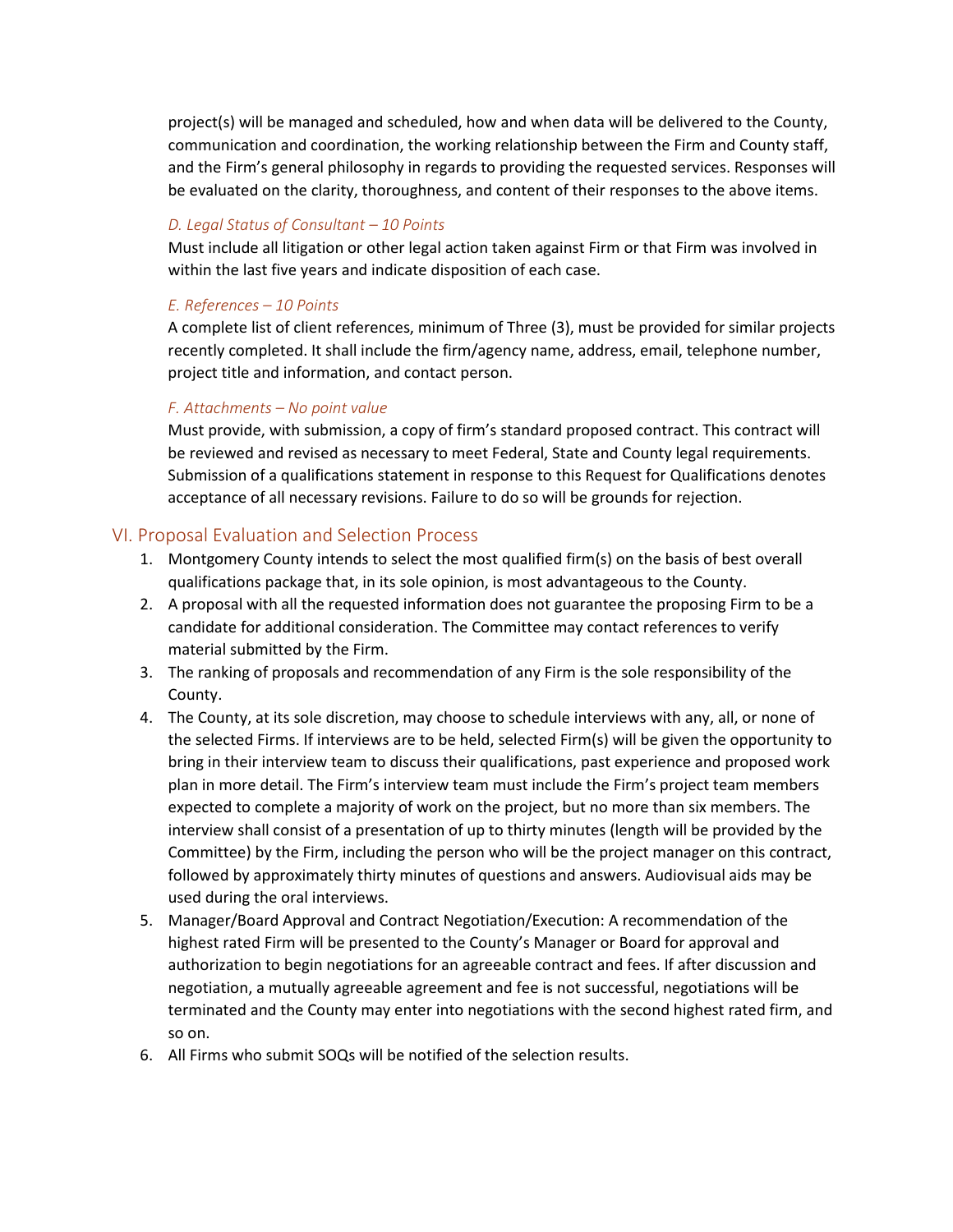project(s) will be managed and scheduled, how and when data will be delivered to the County, communication and coordination, the working relationship between the Firm and County staff, and the Firm's general philosophy in regards to providing the requested services. Responses will be evaluated on the clarity, thoroughness, and content of their responses to the above items.

## *D. Legal Status of Consultant – 10 Points*

Must include all litigation or other legal action taken against Firm or that Firm was involved in within the last five years and indicate disposition of each case.

#### *E. References – 10 Points*

A complete list of client references, minimum of Three (3), must be provided for similar projects recently completed. It shall include the firm/agency name, address, email, telephone number, project title and information, and contact person.

#### *F. Attachments – No point value*

Must provide, with submission, a copy of firm's standard proposed contract. This contract will be reviewed and revised as necessary to meet Federal, State and County legal requirements. Submission of a qualifications statement in response to this Request for Qualifications denotes acceptance of all necessary revisions. Failure to do so will be grounds for rejection.

## VI. Proposal Evaluation and Selection Process

- 1. Montgomery County intends to select the most qualified firm(s) on the basis of best overall qualifications package that, in its sole opinion, is most advantageous to the County.
- 2. A proposal with all the requested information does not guarantee the proposing Firm to be a candidate for additional consideration. The Committee may contact references to verify material submitted by the Firm.
- 3. The ranking of proposals and recommendation of any Firm is the sole responsibility of the County.
- 4. The County, at its sole discretion, may choose to schedule interviews with any, all, or none of the selected Firms. If interviews are to be held, selected Firm(s) will be given the opportunity to bring in their interview team to discuss their qualifications, past experience and proposed work plan in more detail. The Firm's interview team must include the Firm's project team members expected to complete a majority of work on the project, but no more than six members. The interview shall consist of a presentation of up to thirty minutes (length will be provided by the Committee) by the Firm, including the person who will be the project manager on this contract, followed by approximately thirty minutes of questions and answers. Audiovisual aids may be used during the oral interviews.
- 5. Manager/Board Approval and Contract Negotiation/Execution: A recommendation of the highest rated Firm will be presented to the County's Manager or Board for approval and authorization to begin negotiations for an agreeable contract and fees. If after discussion and negotiation, a mutually agreeable agreement and fee is not successful, negotiations will be terminated and the County may enter into negotiations with the second highest rated firm, and so on.
- 6. All Firms who submit SOQs will be notified of the selection results.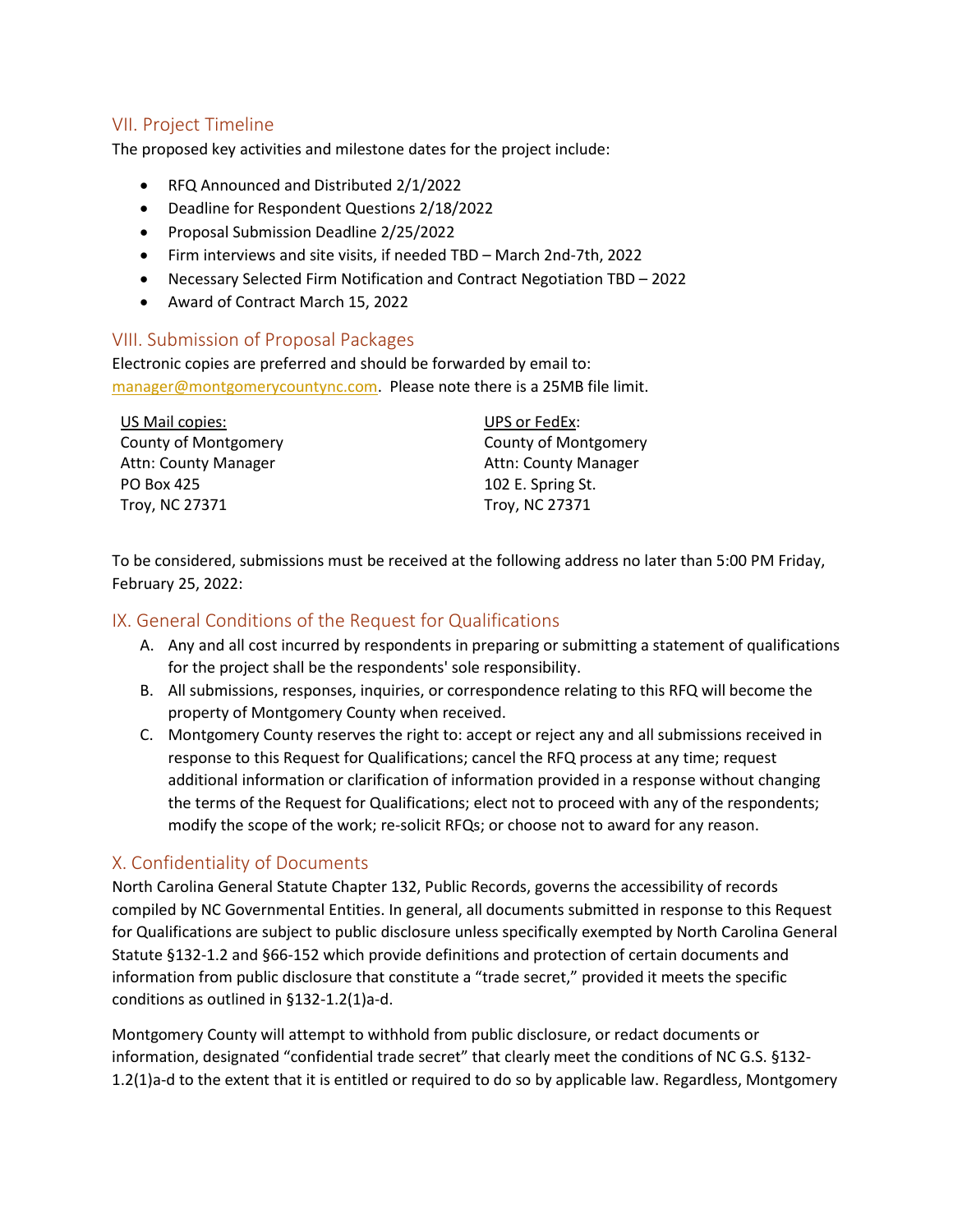# VII. Project Timeline

The proposed key activities and milestone dates for the project include:

- RFQ Announced and Distributed 2/1/2022
- Deadline for Respondent Questions 2/18/2022
- Proposal Submission Deadline 2/25/2022
- Firm interviews and site visits, if needed TBD March 2nd-7th, 2022
- Necessary Selected Firm Notification and Contract Negotiation TBD 2022
- Award of Contract March 15, 2022

# VIII. Submission of Proposal Packages

Electronic copies are preferred and should be forwarded by email to: [manager@montgomerycountync.com.](mailto:manager@montgomerycountync.com) Please note there is a 25MB file limit.

US Mail copies: County of Montgomery Attn: County Manager PO Box 425 Troy, NC 27371

UPS or FedEx: County of Montgomery Attn: County Manager 102 E. Spring St. Troy, NC 27371

To be considered, submissions must be received at the following address no later than 5:00 PM Friday, February 25, 2022:

# IX. General Conditions of the Request for Qualifications

- A. Any and all cost incurred by respondents in preparing or submitting a statement of qualifications for the project shall be the respondents' sole responsibility.
- B. All submissions, responses, inquiries, or correspondence relating to this RFQ will become the property of Montgomery County when received.
- C. Montgomery County reserves the right to: accept or reject any and all submissions received in response to this Request for Qualifications; cancel the RFQ process at any time; request additional information or clarification of information provided in a response without changing the terms of the Request for Qualifications; elect not to proceed with any of the respondents; modify the scope of the work; re-solicit RFQs; or choose not to award for any reason.

# X. Confidentiality of Documents

North Carolina General Statute Chapter 132, Public Records, governs the accessibility of records compiled by NC Governmental Entities. In general, all documents submitted in response to this Request for Qualifications are subject to public disclosure unless specifically exempted by North Carolina General Statute §132-1.2 and §66-152 which provide definitions and protection of certain documents and information from public disclosure that constitute a "trade secret," provided it meets the specific conditions as outlined in §132-1.2(1)a-d.

Montgomery County will attempt to withhold from public disclosure, or redact documents or information, designated "confidential trade secret" that clearly meet the conditions of NC G.S. §132- 1.2(1)a-d to the extent that it is entitled or required to do so by applicable law. Regardless, Montgomery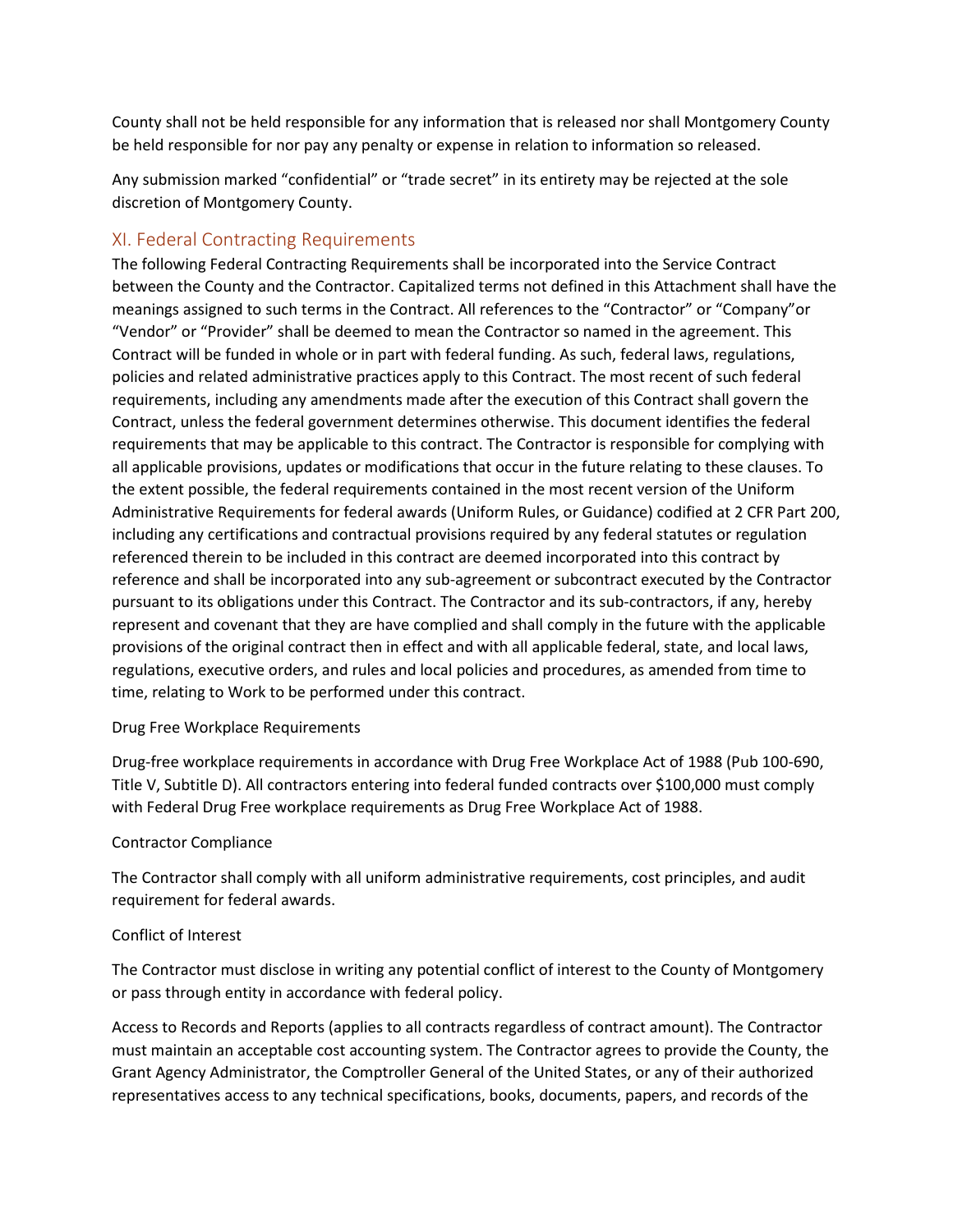County shall not be held responsible for any information that is released nor shall Montgomery County be held responsible for nor pay any penalty or expense in relation to information so released.

Any submission marked "confidential" or "trade secret" in its entirety may be rejected at the sole discretion of Montgomery County.

# XI. Federal Contracting Requirements

The following Federal Contracting Requirements shall be incorporated into the Service Contract between the County and the Contractor. Capitalized terms not defined in this Attachment shall have the meanings assigned to such terms in the Contract. All references to the "Contractor" or "Company"or "Vendor" or "Provider" shall be deemed to mean the Contractor so named in the agreement. This Contract will be funded in whole or in part with federal funding. As such, federal laws, regulations, policies and related administrative practices apply to this Contract. The most recent of such federal requirements, including any amendments made after the execution of this Contract shall govern the Contract, unless the federal government determines otherwise. This document identifies the federal requirements that may be applicable to this contract. The Contractor is responsible for complying with all applicable provisions, updates or modifications that occur in the future relating to these clauses. To the extent possible, the federal requirements contained in the most recent version of the Uniform Administrative Requirements for federal awards (Uniform Rules, or Guidance) codified at 2 CFR Part 200, including any certifications and contractual provisions required by any federal statutes or regulation referenced therein to be included in this contract are deemed incorporated into this contract by reference and shall be incorporated into any sub-agreement or subcontract executed by the Contractor pursuant to its obligations under this Contract. The Contractor and its sub-contractors, if any, hereby represent and covenant that they are have complied and shall comply in the future with the applicable provisions of the original contract then in effect and with all applicable federal, state, and local laws, regulations, executive orders, and rules and local policies and procedures, as amended from time to time, relating to Work to be performed under this contract.

#### Drug Free Workplace Requirements

Drug-free workplace requirements in accordance with Drug Free Workplace Act of 1988 (Pub 100-690, Title V, Subtitle D). All contractors entering into federal funded contracts over \$100,000 must comply with Federal Drug Free workplace requirements as Drug Free Workplace Act of 1988.

## Contractor Compliance

The Contractor shall comply with all uniform administrative requirements, cost principles, and audit requirement for federal awards.

## Conflict of Interest

The Contractor must disclose in writing any potential conflict of interest to the County of Montgomery or pass through entity in accordance with federal policy.

Access to Records and Reports (applies to all contracts regardless of contract amount). The Contractor must maintain an acceptable cost accounting system. The Contractor agrees to provide the County, the Grant Agency Administrator, the Comptroller General of the United States, or any of their authorized representatives access to any technical specifications, books, documents, papers, and records of the